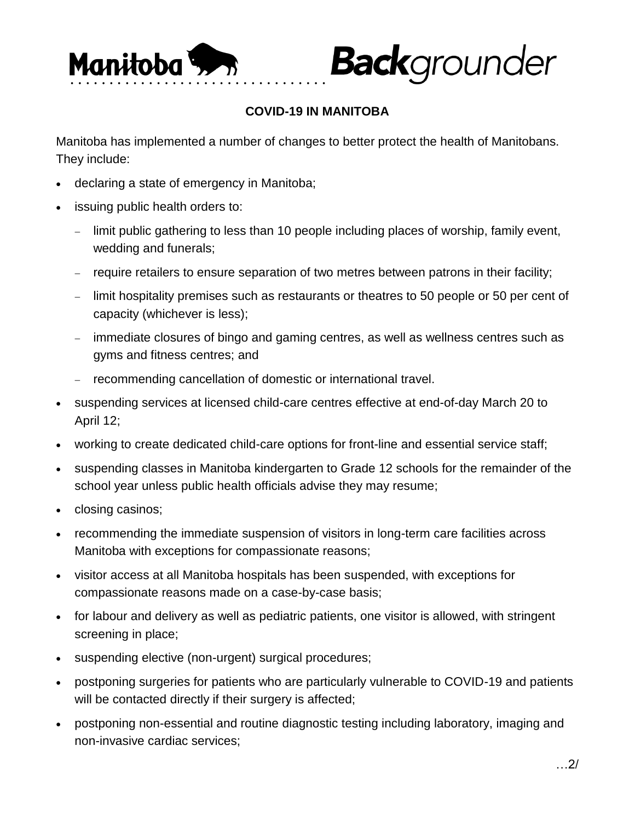

## **COVID-19 IN MANITOBA**

**Back**grounder

Manitoba has implemented a number of changes to better protect the health of Manitobans. They include:

- declaring a state of emergency in Manitoba;
- issuing public health orders to:
	- limit public gathering to less than 10 people including places of worship, family event, wedding and funerals;
	- require retailers to ensure separation of two metres between patrons in their facility;
	- limit hospitality premises such as restaurants or theatres to 50 people or 50 per cent of capacity (whichever is less);
	- immediate closures of bingo and gaming centres, as well as wellness centres such as gyms and fitness centres; and
	- recommending cancellation of domestic or international travel.
- suspending services at licensed child-care centres effective at end-of-day March 20 to April 12;
- working to create dedicated child-care options for front-line and essential service staff;
- suspending classes in Manitoba kindergarten to Grade 12 schools for the remainder of the school year unless public health officials advise they may resume;
- closing casinos;
- recommending the immediate suspension of visitors in long-term care facilities across Manitoba with exceptions for compassionate reasons;
- visitor access at all Manitoba hospitals has been suspended, with exceptions for compassionate reasons made on a case-by-case basis;
- for labour and delivery as well as pediatric patients, one visitor is allowed, with stringent screening in place;
- suspending elective (non-urgent) surgical procedures;
- postponing surgeries for patients who are particularly vulnerable to COVID-19 and patients will be contacted directly if their surgery is affected;
- postponing non-essential and routine diagnostic testing including laboratory, imaging and non-invasive cardiac services;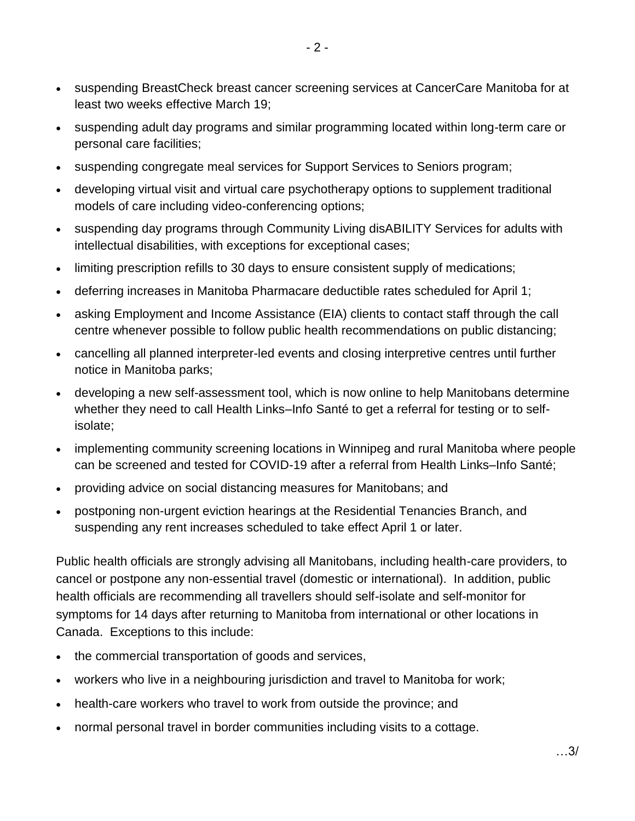- suspending BreastCheck breast cancer screening services at CancerCare Manitoba for at least two weeks effective March 19;
- suspending adult day programs and similar programming located within long-term care or personal care facilities;
- suspending congregate meal services for Support Services to Seniors program;
- developing virtual visit and virtual care psychotherapy options to supplement traditional models of care including video-conferencing options;
- suspending day programs through Community Living disABILITY Services for adults with intellectual disabilities, with exceptions for exceptional cases;
- limiting prescription refills to 30 days to ensure consistent supply of medications;
- deferring increases in Manitoba Pharmacare deductible rates scheduled for April 1;
- asking Employment and Income Assistance (EIA) clients to contact staff through the call centre whenever possible to follow public health recommendations on public distancing;
- cancelling all planned interpreter-led events and closing interpretive centres until further notice in Manitoba parks;
- developing a new self-assessment tool, which is now online to help Manitobans determine whether they need to call Health Links–Info Santé to get a referral for testing or to selfisolate;
- implementing community screening locations in Winnipeg and rural Manitoba where people can be screened and tested for COVID-19 after a referral from Health Links–Info Santé;
- providing advice on social distancing measures for Manitobans; and
- postponing non-urgent eviction hearings at the Residential Tenancies Branch, and suspending any rent increases scheduled to take effect April 1 or later.

Public health officials are strongly advising all Manitobans, including health-care providers, to cancel or postpone any non-essential travel (domestic or international). In addition, public health officials are recommending all travellers should self-isolate and self-monitor for symptoms for 14 days after returning to Manitoba from international or other locations in Canada. Exceptions to this include:

- the commercial transportation of goods and services,
- workers who live in a neighbouring jurisdiction and travel to Manitoba for work;
- health-care workers who travel to work from outside the province; and
- normal personal travel in border communities including visits to a cottage.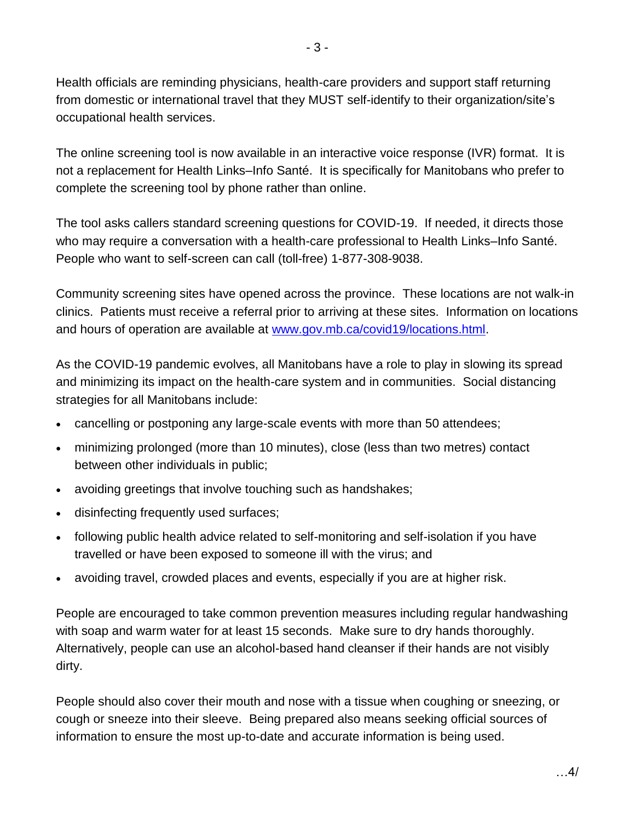Health officials are reminding physicians, health-care providers and support staff returning from domestic or international travel that they MUST self-identify to their organization/site's occupational health services.

The online screening tool is now available in an interactive voice response (IVR) format. It is not a replacement for Health Links–Info Santé. It is specifically for Manitobans who prefer to complete the screening tool by phone rather than online.

The tool asks callers standard screening questions for COVID-19. If needed, it directs those who may require a conversation with a health-care professional to Health Links–Info Santé. People who want to self-screen can call (toll-free) 1-877-308-9038.

Community screening sites have opened across the province. These locations are not walk-in clinics. Patients must receive a referral prior to arriving at these sites. Information on locations and hours of operation are available at [www.gov.mb.ca/covid19/locations.html.](https://www.gov.mb.ca/covid19/locations.html)

As the COVID-19 pandemic evolves, all Manitobans have a role to play in slowing its spread and minimizing its impact on the health-care system and in communities. Social distancing strategies for all Manitobans include:

- cancelling or postponing any large-scale events with more than 50 attendees;
- minimizing prolonged (more than 10 minutes), close (less than two metres) contact between other individuals in public;
- avoiding greetings that involve touching such as handshakes;
- disinfecting frequently used surfaces;
- following public health advice related to self-monitoring and self-isolation if you have travelled or have been exposed to someone ill with the virus; and
- avoiding travel, crowded places and events, especially if you are at higher risk.

People are encouraged to take common prevention measures including regular handwashing with soap and warm water for at least 15 seconds. Make sure to dry hands thoroughly. Alternatively, people can use an alcohol-based hand cleanser if their hands are not visibly dirty.

People should also cover their mouth and nose with a tissue when coughing or sneezing, or cough or sneeze into their sleeve. Being prepared also means seeking official sources of information to ensure the most up-to-date and accurate information is being used.